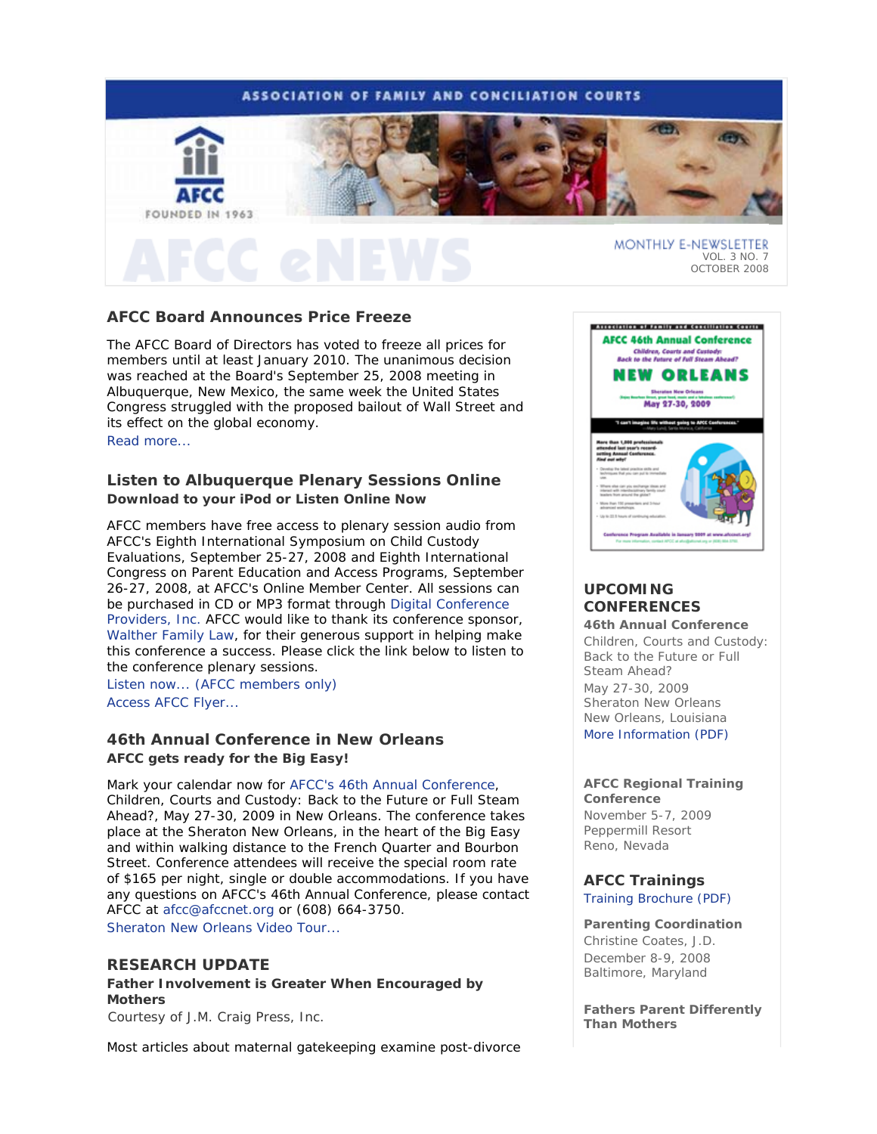# **ASSOCIATION OF FAMILY AND CONCILIATION COURTS**



# **AFCC Board Announces Price Freeze**

The AFCC Board of Directors has voted to freeze all prices for members until at least January 2010. The unanimous decision was reached at the Board's September 25, 2008 meeting in Albuquerque, New Mexico, the same week the United States Congress struggled with the proposed bailout of Wall Street and its effect on the global economy. Read more...

# **Listen to Albuquerque Plenary Sessions Online**  *Download to your iPod or Listen Online Now*

AFCC members have free access to plenary session audio from *AFCC's Eighth International Symposium on Child Custody Evaluations*, September 25-27, 2008 and *Eighth International Congress on Parent Education and Access Programs*, September 26-27, 2008, at AFCC's Online Member Center. All sessions can be purchased in CD or MP3 format through Digital Conference Providers, Inc. AFCC would like to thank its conference sponsor, Walther Family Law, for their generous support in helping make this conference a success. Please click the link below to listen to the conference plenary sessions.

Listen now... (AFCC members only) Access AFCC Flyer...

# **46th Annual Conference in New Orleans** *AFCC gets ready for the Big Easy!*

Mark your calendar now for AFCC's 46th Annual Conference, *Children, Courts and Custody: Back to the Future or Full Steam Ahead?*, May 27-30, 2009 in New Orleans. The conference takes place at the Sheraton New Orleans, in the heart of the Big Easy and within walking distance to the French Quarter and Bourbon Street. Conference attendees will receive the special room rate of \$165 per night, single or double accommodations. If you have any questions on AFCC's 46th Annual Conference, please contact AFCC at afcc@afccnet.org or (608) 664-3750. Sheraton New Orleans Video Tour.

**RESEARCH UPDATE**

**Father Involvement is Greater When Encouraged by Mothers** 

*Courtesy of J.M. Craig Press, Inc.*

Most articles about maternal gatekeeping examine post-divorce



# **UPCOMING CONFERENCES**

**46th Annual Conference** *Children, Courts and Custody: Back to the Future or Full Steam Ahead?*  May 27-30, 2009 Sheraton New Orleans New Orleans, Louisiana More Information (PDF)

#### **AFCC Regional Training Conference**

November 5-7, 2009 Peppermill Resort Reno, Nevada

**AFCC Trainings**  Training Brochure (PDF)

### **Parenting Coordination**

*Christine Coates, J.D.* December 8-9, 2008 Baltimore, Maryland

**Fathers Parent Differently Than Mothers**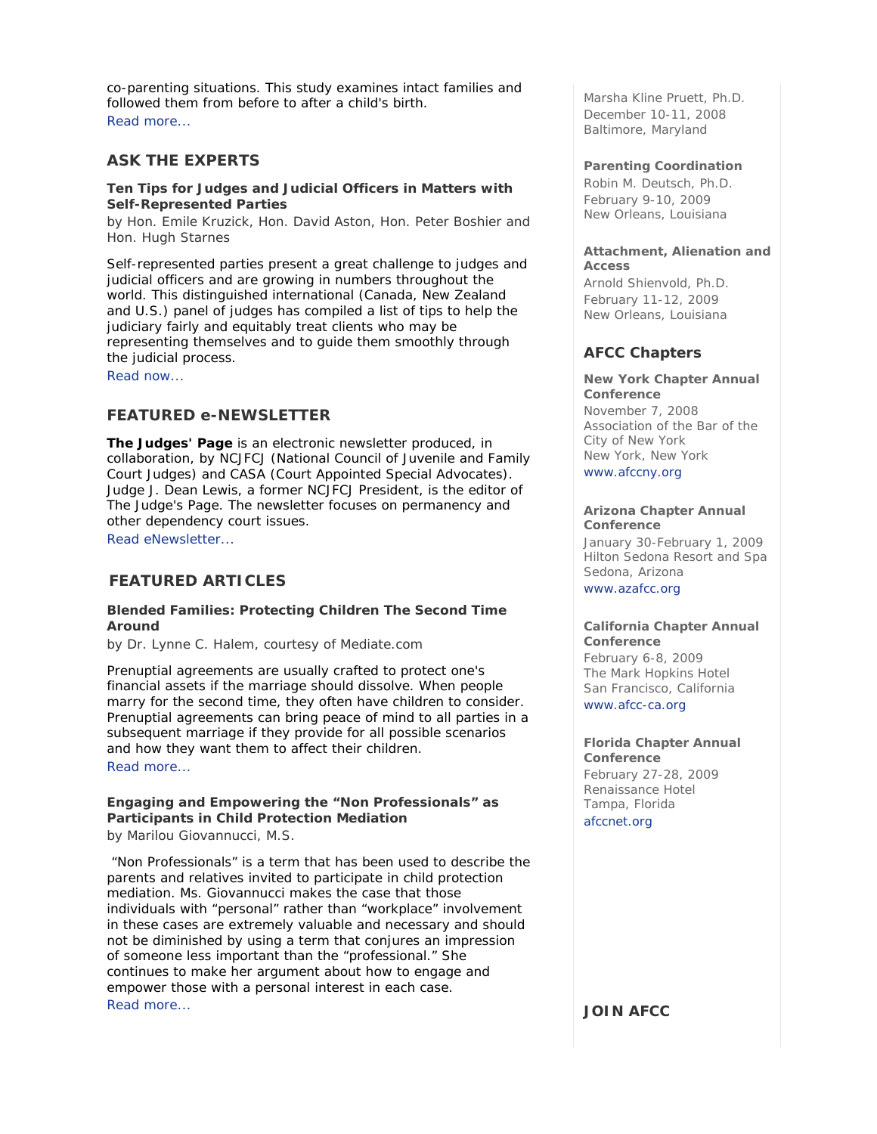co-parenting situations. This study examines intact families and followed them from before to after a child's birth. Read more...

# **ASK THE EXPERTS**

### **Ten Tips for Judges and Judicial Officers in Matters with Self-Represented Parties**

*by Hon. Emile Kruzick, Hon. David Aston, Hon. Peter Boshier and Hon. Hugh Starnes* 

Self-represented parties present a great challenge to judges and judicial officers and are growing in numbers throughout the world. This distinguished international (Canada, New Zealand and U.S.) panel of judges has compiled a list of tips to help the judiciary fairly and equitably treat clients who may be representing themselves and to guide them smoothly through the judicial process.

Read now...

# **FEATURED e-NEWSLETTER**

*The Judges' Page* is an electronic newsletter produced, in collaboration, by NCJFCJ (National Council of Juvenile and Family Court Judges) and CASA (Court Appointed Special Advocates). Judge J. Dean Lewis, a former NCJFCJ President, is the editor of The Judge's Page. The newsletter focuses on permanency and other dependency court issues.

Read eNewsletter...

# **FEATURED ARTICLES**

### **Blended Families: Protecting Children The Second Time Around**

*by Dr. Lynne C. Halem, courtesy of Mediate.com* 

Prenuptial agreements are usually crafted to protect one's financial assets if the marriage should dissolve. When people marry for the second time, they often have children to consider. Prenuptial agreements can bring peace of mind to all parties in a subsequent marriage if they provide for all possible scenarios and how they want them to affect their children. Read more...

# **Engaging and Empowering the "Non Professionals" as Participants in Child Protection Mediation**

*by Marilou Giovannucci, M.S.*

 "Non Professionals" is a term that has been used to describe the parents and relatives invited to participate in child protection mediation. Ms. Giovannucci makes the case that those individuals with "personal" rather than "workplace" involvement in these cases are extremely valuable and necessary and should not be diminished by using a term that conjures an impression of someone less important than the "professional." She continues to make her argument about how to engage and empower those with a personal interest in each case. Read more...

*Marsha Kline Pruett, Ph.D.* December 10-11, 2008 Baltimore, Maryland

### **Parenting Coordination**

*Robin M. Deutsch, Ph.D.*  February 9-10, 2009 New Orleans, Louisiana

### **Attachment, Alienation and Access**

*Arnold Shienvold, Ph.D.* February 11-12, 2009 New Orleans, Louisiana

# **AFCC Chapters**

#### **New York Chapter Annual Conference**

November 7, 2008 Association of the Bar of the City of New York New York, New York

www.afccny.org

### **Arizona Chapter Annual Conference**

January 30-February 1, 2009 Hilton Sedona Resort and Spa Sedona, Arizona www.azafcc.org

#### **California Chapter Annual Conference**

February 6-8, 2009 The Mark Hopkins Hotel San Francisco, California

www.afcc-ca.org

### **Florida Chapter Annual Conference**

February 27-28, 2009 Renaissance Hotel Tampa, Florida afccnet.org

**JOIN AFCC**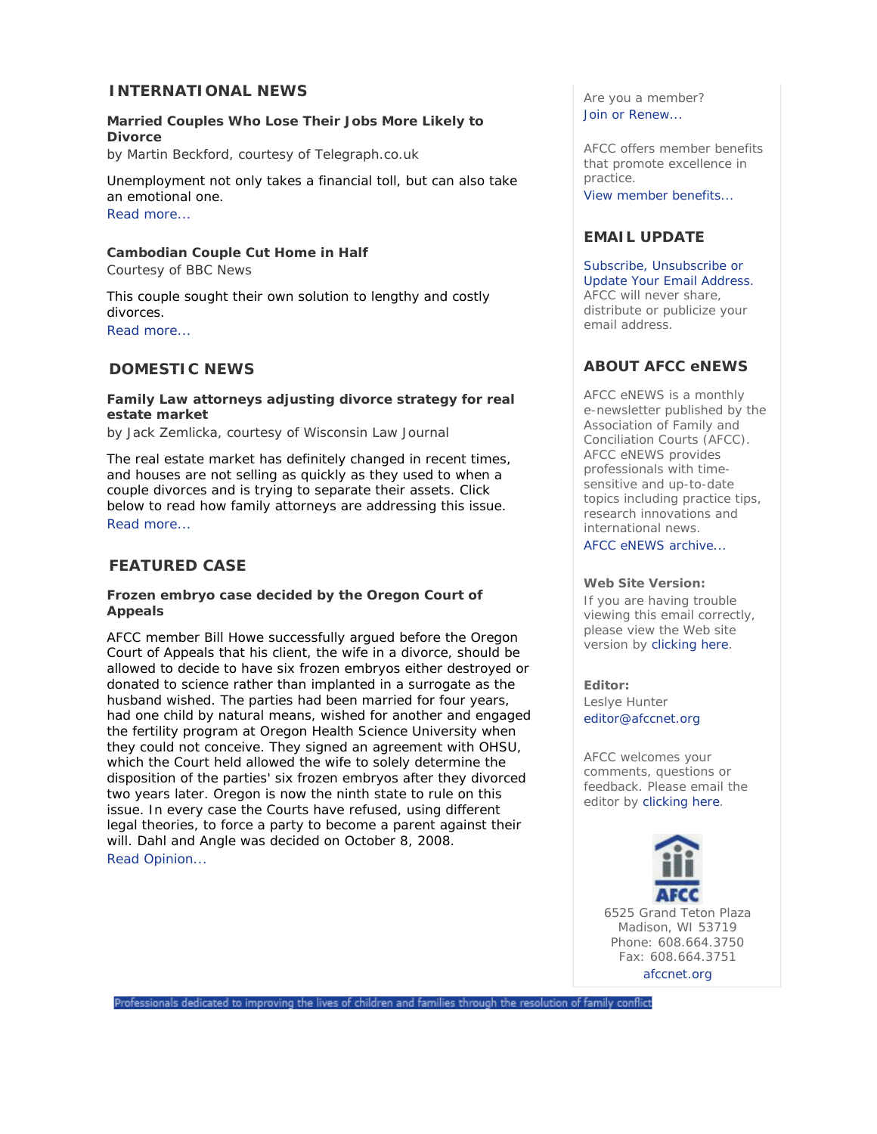# **INTERNATIONAL NEWS**

# **Married Couples Who Lose Their Jobs More Likely to Divorce**

*by Martin Beckford, courtesy of Telegraph.co.uk* 

Unemployment not only takes a financial toll, but can also take an emotional one. Read more...

# **Cambodian Couple Cut Home in Half**

*Courtesy of BBC News* 

This couple sought their own solution to lengthy and costly divorces.

Read more...

# **DOMESTIC NEWS**

# **Family Law attorneys adjusting divorce strategy for real estate market**

*by Jack Zemlicka, courtesy of Wisconsin Law Journal*

The real estate market has definitely changed in recent times, and houses are not selling as quickly as they used to when a couple divorces and is trying to separate their assets. Click below to read how family attorneys are addressing this issue. Read more...

# **FEATURED CASE**

### **Frozen embryo case decided by the Oregon Court of Appeals**

AFCC member Bill Howe successfully argued before the Oregon Court of Appeals that his client, the wife in a divorce, should be allowed to decide to have six frozen embryos either destroyed or donated to science rather than implanted in a surrogate as the husband wished. The parties had been married for four years, had one child by natural means, wished for another and engaged the fertility program at Oregon Health Science University when they could not conceive. They signed an agreement with OHSU, which the Court held allowed the wife to solely determine the disposition of the parties' six frozen embryos after they divorced two years later. Oregon is now the ninth state to rule on this issue. In every case the Courts have refused, using different legal theories, to force a party to become a parent against their will. Dahl and Angle was decided on October 8, 2008. Read Opinion...

Are you a member? Join or Renew...

AFCC offers member benefits that promote excellence in practice. View member benefits...

# **EMAIL UPDATE**

Subscribe, Unsubscribe or Update Your Email Address. AFCC will never share, distribute or publicize your email address.

# **ABOUT AFCC eNEWS**

*AFCC eNEWS* is a monthly e-newsletter published by the Association of Family and Conciliation Courts (AFCC). *AFCC eNEWS* provides professionals with timesensitive and up-to-date topics including practice tips, research innovations and international news. AFCC eNEWS archive...

### **Web Site Version:**

If you are having trouble viewing this email correctly, please view the Web site version by clicking here.

### **Editor:**

Leslye Hunter editor@afccnet.org

AFCC welcomes your comments, questions or feedback. Please email the editor by clicking here.



Madison, WI 53719 Phone: 608.664.3750 Fax: 608.664.3751

afccnet.org

Professionals dedicated to improving the lives of children and families through the resolution of family conflict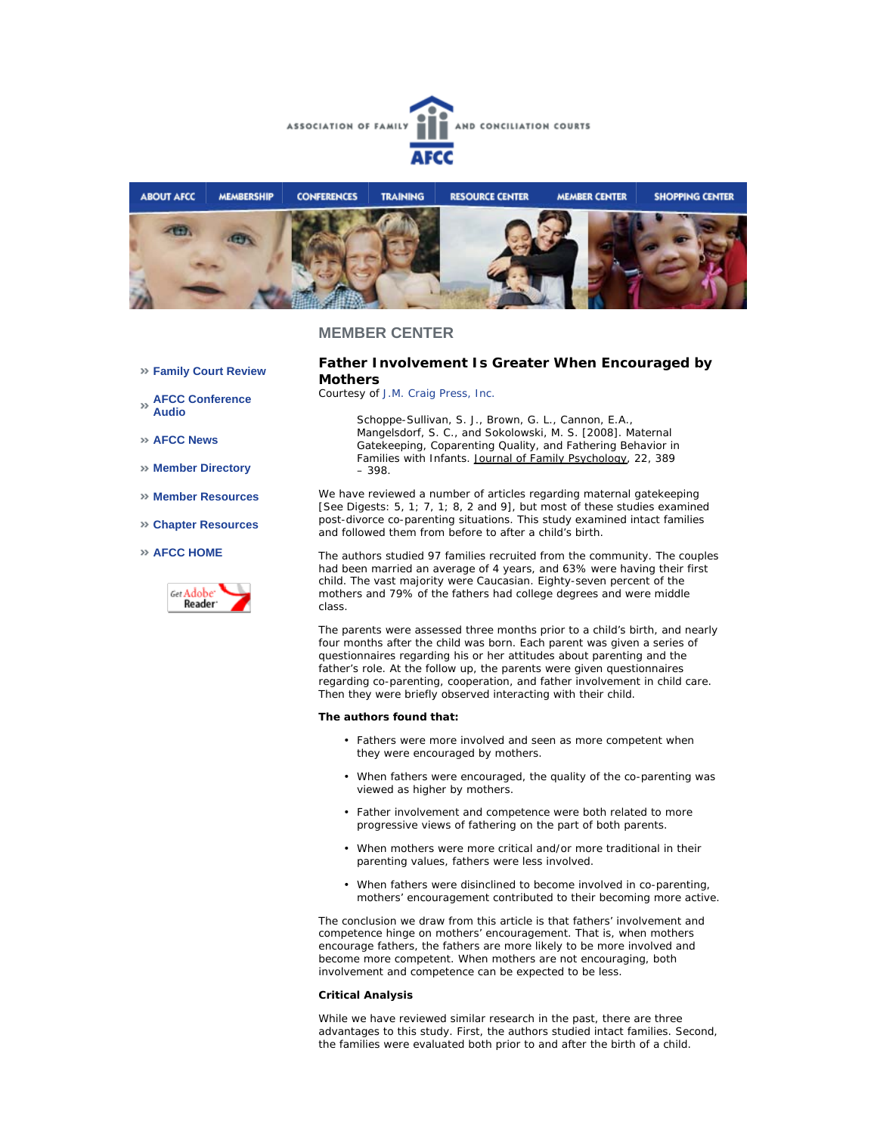



**Family Court Review** 

**AFCC Conference Audio** 

**AFCC News** 

- **Member Directory**
- **Member Resources**
- **Chapter Resources**

#### **AFCC HOME**



**Father Involvement Is Greater When Encouraged by Mothers** 

*Courtesy of J.M. Craig Press, Inc.*

*Schoppe-Sullivan, S. J., Brown, G. L., Cannon, E.A., Mangelsdorf, S. C., and Sokolowski, M. S. [2008]. Maternal Gatekeeping, Coparenting Quality, and Fathering Behavior in Families with Infants. Journal of Family Psychology, 22, 389 – 398.*

We have reviewed a number of articles regarding maternal gatekeeping [See Digests: 5, 1; 7, 1; 8, 2 and 9], but most of these studies examined post-divorce co-parenting situations. This study examined intact families and followed them from before to after a child's birth.

The authors studied 97 families recruited from the community. The couples had been married an average of 4 years, and 63% were having their first child. The vast majority were Caucasian. Eighty-seven percent of the mothers and 79% of the fathers had college degrees and were middle class.

The parents were assessed three months prior to a child's birth, and nearly four months after the child was born. Each parent was given a series of questionnaires regarding his or her attitudes about parenting and the father's role. At the follow up, the parents were given questionnaires regarding co-parenting, cooperation, and father involvement in child care. Then they were briefly observed interacting with their child.

#### **The authors found that:**

- Fathers were more involved and seen as more competent when they were encouraged by mothers.
- When fathers were encouraged, the quality of the co-parenting was viewed as higher by mothers.
- Father involvement and competence were both related to more progressive views of fathering on the part of both parents.
- When mothers were more critical and/or more traditional in their parenting values, fathers were less involved.
- When fathers were disinclined to become involved in co-parenting, mothers' encouragement contributed to their becoming more active.

The conclusion we draw from this article is that fathers' involvement and competence hinge on mothers' encouragement. That is, when mothers encourage fathers, the fathers are more likely to be more involved and become more competent. When mothers are not encouraging, both involvement and competence can be expected to be less.

#### **Critical Analysis**

While we have reviewed similar research in the past, there are three advantages to this study. First, the authors studied intact families. Second, the families were evaluated both prior to and after the birth of a child.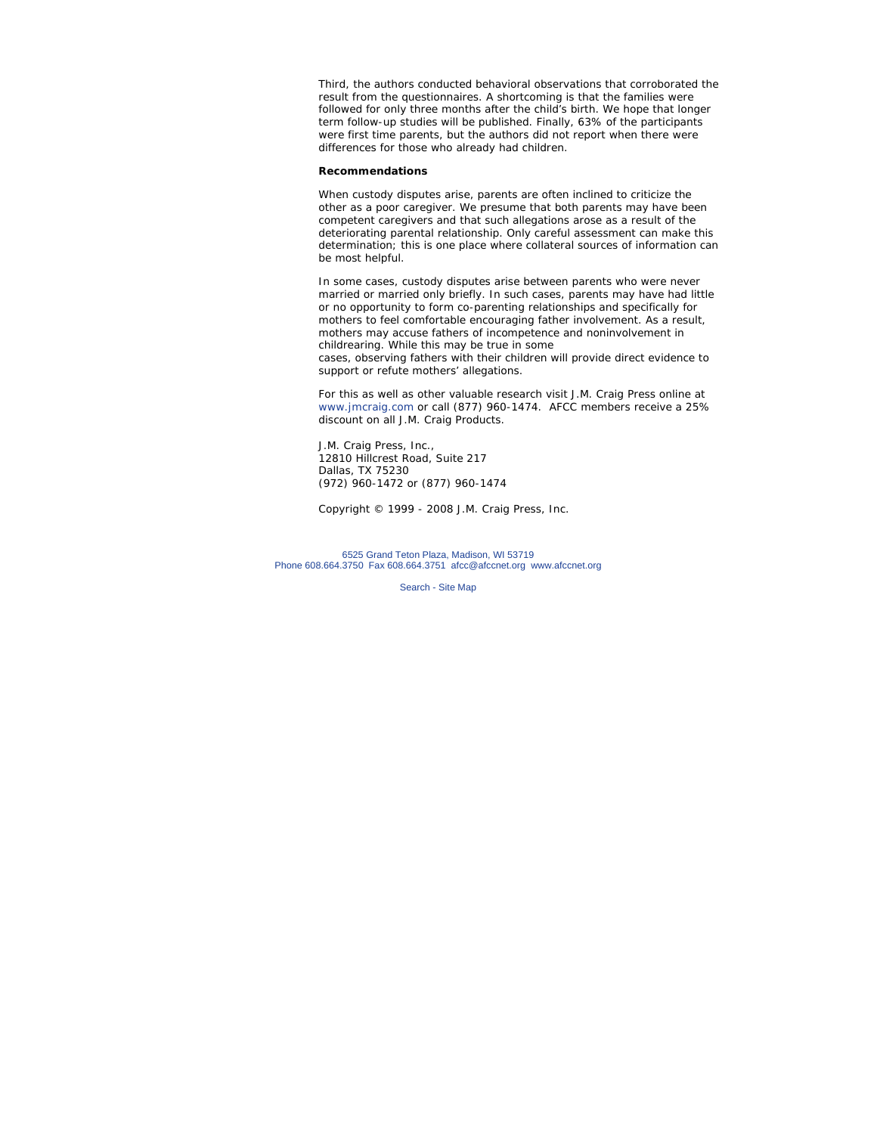Third, the authors conducted behavioral observations that corroborated the result from the questionnaires. A shortcoming is that the families were followed for only three months after the child's birth. We hope that longer term follow-up studies will be published. Finally, 63% of the participants were first time parents, but the authors did not report when there were differences for those who already had children.

#### **Recommendations**

When custody disputes arise, parents are often inclined to criticize the other as a poor caregiver. We presume that both parents may have been competent caregivers and that such allegations arose as a result of the deteriorating parental relationship. Only careful assessment can make this determination; this is one place where collateral sources of information can be most helpful.

In some cases, custody disputes arise between parents who were never married or married only briefly. In such cases, parents may have had little or no opportunity to form co-parenting relationships and specifically for mothers to feel comfortable encouraging father involvement. As a result, mothers may accuse fathers of incompetence and noninvolvement in childrearing. While this may be true in some cases, observing fathers with their children will provide direct evidence to support or refute mothers' allegations.

*For this as well as other valuable research visit J.M. Craig Press online at www.jmcraig.com or call (877) 960-1474. AFCC members receive a 25% discount on all J.M. Craig Products.*

J.M. Craig Press, Inc., 12810 Hillcrest Road, Suite 217 Dallas, TX 75230 (972) 960-1472 or (877) 960-1474

*Copyright © 1999 - 2008 J.M. Craig Press, Inc.*

6525 Grand Teton Plaza, Madison, WI 53719 Phone 608.664.3750 Fax 608.664.3751 afcc@afccnet.org www.afccnet.org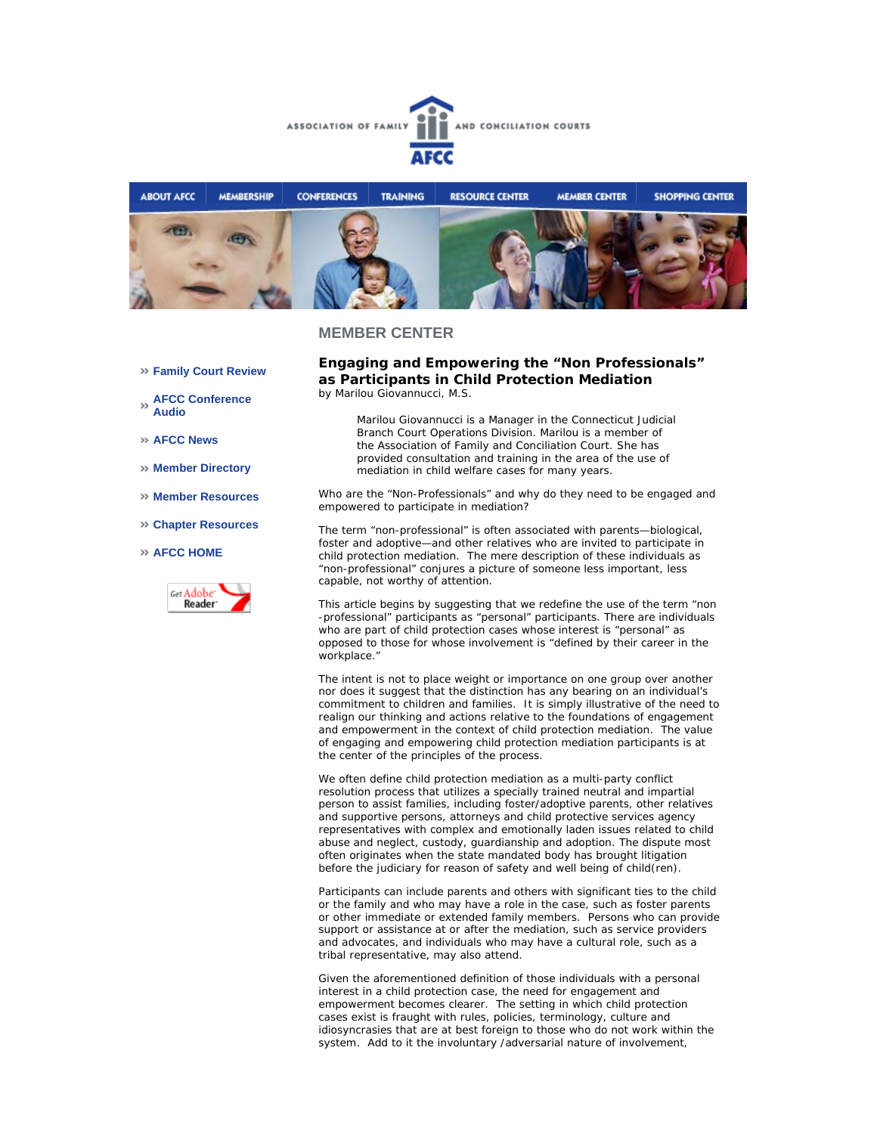



- **Family Court Review**
- **AFCC Conference Audio**
- **AFCC News**
- **Member Directory**
- **Member Resources**
- **Chapter Resources**

### **AFCC HOME**



### **Engaging and Empowering the "Non Professionals" as Participants in Child Protection Mediation**  *by Marilou Giovannucci, M.S.*

*Marilou Giovannucci is a Manager in the Connecticut Judicial Branch Court Operations Division. Marilou is a member of the Association of Family and Conciliation Court. She has provided consultation and training in the area of the use of mediation in child welfare cases for many years.*

Who are the "Non-Professionals" and why do they need to be engaged and empowered to participate in mediation?

The term "non-professional" is often associated with parents—biological, foster and adoptive—and other relatives who are invited to participate in child protection mediation. The mere description of these individuals as "non-professional" conjures a picture of someone less important, less capable, not worthy of attention.

This article begins by suggesting that we redefine the use of the term "non -professional" participants as "personal" participants. There are individuals who are part of child protection cases whose interest is "personal" as opposed to those for whose involvement is "defined by their career in the workplace."

The intent is not to place weight or importance on one group over another nor does it suggest that the distinction has any bearing on an individual's commitment to children and families. It is simply illustrative of the need to realign our thinking and actions relative to the foundations of engagement and empowerment in the context of child protection mediation. The value of engaging and empowering child protection mediation participants is at the center of the principles of the process.

We often define child protection mediation as a multi-party conflict resolution process that utilizes a specially trained neutral and impartial person to assist families, including foster/adoptive parents, other relatives and supportive persons, attorneys and child protective services agency representatives with complex and emotionally laden issues related to child abuse and neglect, custody, guardianship and adoption. The dispute most often originates when the state mandated body has brought litigation before the judiciary for reason of safety and well being of child(ren).

Participants can include parents and others with significant ties to the child or the family and who may have a role in the case, such as foster parents or other immediate or extended family members. Persons who can provide support or assistance at or after the mediation, such as service providers and advocates, and individuals who may have a cultural role, such as a tribal representative, may also attend.

Given the aforementioned definition of those individuals with a personal interest in a child protection case, the need for engagement and empowerment becomes clearer. The setting in which child protection cases exist is fraught with rules, policies, terminology, culture and idiosyncrasies that are at best foreign to those who do not work within the system. Add to it the involuntary /adversarial nature of involvement,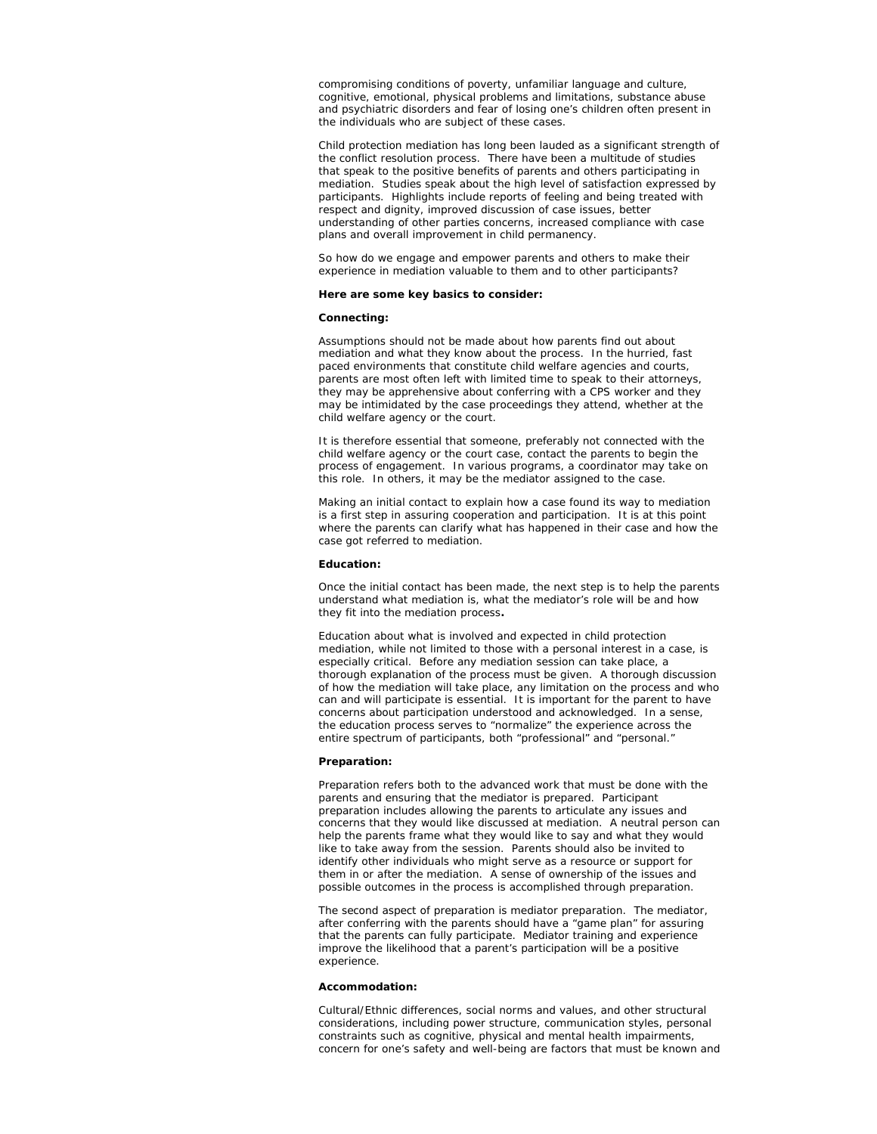compromising conditions of poverty, unfamiliar language and culture, cognitive, emotional, physical problems and limitations, substance abuse and psychiatric disorders and fear of losing one's children often present in the individuals who are subject of these cases.

Child protection mediation has long been lauded as a significant strength of the conflict resolution process. There have been a multitude of studies that speak to the positive benefits of parents and others participating in mediation. Studies speak about the high level of satisfaction expressed by participants. Highlights include reports of feeling and being treated with respect and dignity, improved discussion of case issues, better understanding of other parties concerns, increased compliance with case plans and overall improvement in child permanency.

So how do we engage and empower parents and others to make their experience in mediation valuable to them and to other participants?

#### **Here are some key basics to consider:**

#### **Connecting:**

Assumptions should not be made about how parents find out about mediation and what they know about the process. In the hurried, fast paced environments that constitute child welfare agencies and courts, parents are most often left with limited time to speak to their attorneys, they may be apprehensive about conferring with a CPS worker and they may be intimidated by the case proceedings they attend, whether at the child welfare agency or the court.

It is therefore essential that someone, preferably not connected with the child welfare agency or the court case, contact the parents to begin the process of engagement. In various programs, a coordinator may take on this role. In others, it may be the mediator assigned to the case.

Making an initial contact to explain how a case found its way to mediation is a first step in assuring cooperation and participation. It is at this point where the parents can clarify what has happened in their case and how the case got referred to mediation.

#### **Education:**

Once the initial contact has been made, the next step is to help the parents understand what mediation is, what the mediator's role will be and how they fit into the mediation process**.**

Education about what is involved and expected in child protection mediation, while not limited to those with a personal interest in a case, is especially critical. Before any mediation session can take place, a thorough explanation of the process must be given. A thorough discussion of how the mediation will take place, any limitation on the process and who can and will participate is essential. It is important for the parent to have concerns about participation understood and acknowledged. In a sense, the education process serves to "normalize" the experience across the entire spectrum of participants, both "professional" and "personal."

#### **Preparation:**

Preparation refers both to the advanced work that must be done with the parents and ensuring that the mediator is prepared. Participant preparation includes allowing the parents to articulate any issues and concerns that they would like discussed at mediation. A neutral person can help the parents frame what they would like to say and what they would like to take away from the session. Parents should also be invited to identify other individuals who might serve as a resource or support for them in or after the mediation. A sense of ownership of the issues and possible outcomes in the process is accomplished through preparation.

The second aspect of preparation is mediator preparation. The mediator, after conferring with the parents should have a "game plan" for assuring that the parents can fully participate. Mediator training and experience improve the likelihood that a parent's participation will be a positive experience.

#### **Accommodation:**

Cultural/Ethnic differences, social norms and values, and other structural considerations, including power structure, communication styles, personal constraints such as cognitive, physical and mental health impairments, concern for one's safety and well-being are factors that must be known and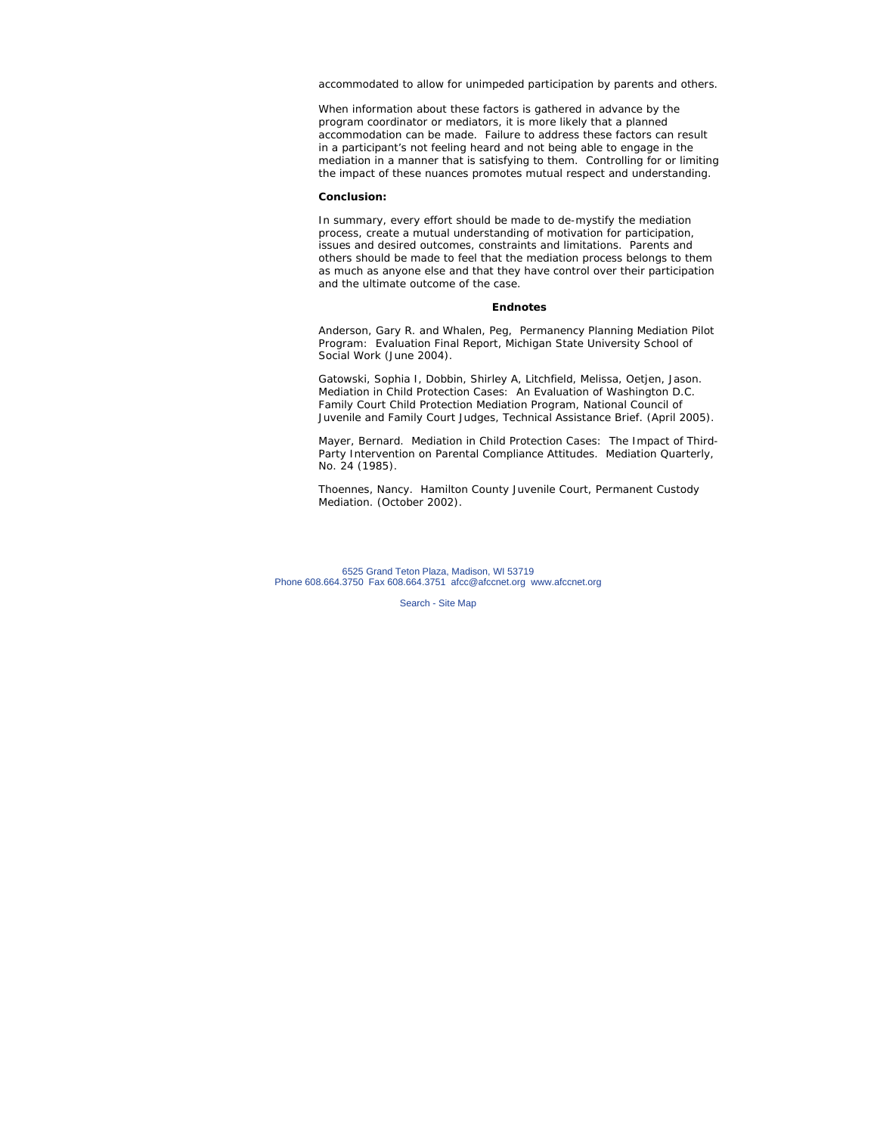accommodated to allow for unimpeded participation by parents and others.

When information about these factors is gathered in advance by the program coordinator or mediators, it is more likely that a planned accommodation can be made. Failure to address these factors can result in a participant's not feeling heard and not being able to engage in the mediation in a manner that is satisfying to them. Controlling for or limiting the impact of these nuances promotes mutual respect and understanding.

#### **Conclusion:**

In summary, every effort should be made to de-mystify the mediation process, create a mutual understanding of motivation for participation, issues and desired outcomes, constraints and limitations. Parents and others should be made to feel that the mediation process belongs to them as much as anyone else and that they have control over their participation and the ultimate outcome of the case.

#### **Endnotes**

Anderson, Gary R. and Whalen, Peg, *Permanency Planning Mediation Pilot Program: Evaluation Final Report,* Michigan State University School of Social Work (June 2004).

Gatowski, Sophia I, Dobbin, Shirley A, Litchfield, Melissa, Oetjen, Jason. *Mediation in Child Protection Cases: An Evaluation of Washington D.C. Family Court Child Protection Mediation Program,* National Council of Juvenile and Family Court Judges, Technical Assistance Brief. (April 2005).

Mayer, Bernard. *Mediation in Child Protection Cases: The Impact of Third-Party Intervention on Parental Compliance Attitudes.* Mediation Quarterly, No. 24 (1985).

Thoennes, Nancy. *Hamilton County Juvenile Court, Permanent Custody Mediation*. (October 2002).

6525 Grand Teton Plaza, Madison, WI 53719 Phone 608.664.3750 Fax 608.664.3751 afcc@afccnet.org www.afccnet.org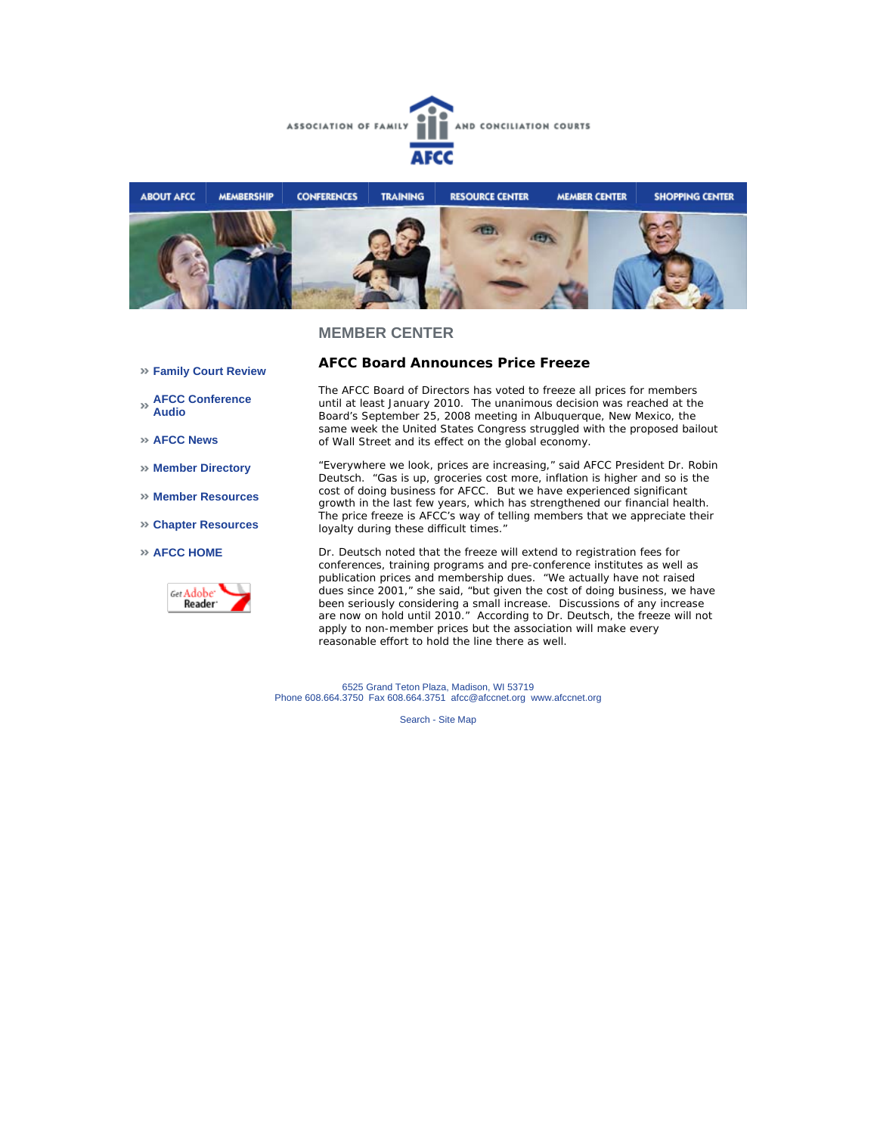



- **Family Court Review**
- **AFCC Conference Audio**
- **AFCC News**
- **Member Directory**
- **Member Resources**
- **Chapter Resources**
- **AFCC HOME**



**AFCC Board Announces Price Freeze** 

The AFCC Board of Directors has voted to freeze all prices for members until at least January 2010. The unanimous decision was reached at the Board's September 25, 2008 meeting in Albuquerque, New Mexico, the same week the United States Congress struggled with the proposed bailout of Wall Street and its effect on the global economy.

"Everywhere we look, prices are increasing," said AFCC President Dr. Robin Deutsch. "Gas is up, groceries cost more, inflation is higher and so is the cost of doing business for AFCC. But we have experienced significant growth in the last few years, which has strengthened our financial health. The price freeze is AFCC's way of telling members that we appreciate their loyalty during these difficult times."

Dr. Deutsch noted that the freeze will extend to registration fees for conferences, training programs and pre-conference institutes as well as publication prices and membership dues. "We actually have not raised dues since 2001," she said, "but given the cost of doing business, we have been seriously considering a small increase. Discussions of any increase are now on hold until 2010." According to Dr. Deutsch, the freeze will not apply to non-member prices but the association will make every reasonable effort to hold the line there as well.

6525 Grand Teton Plaza, Madison, WI 53719 Phone 608.664.3750 Fax 608.664.3751 afcc@afccnet.org www.afccnet.org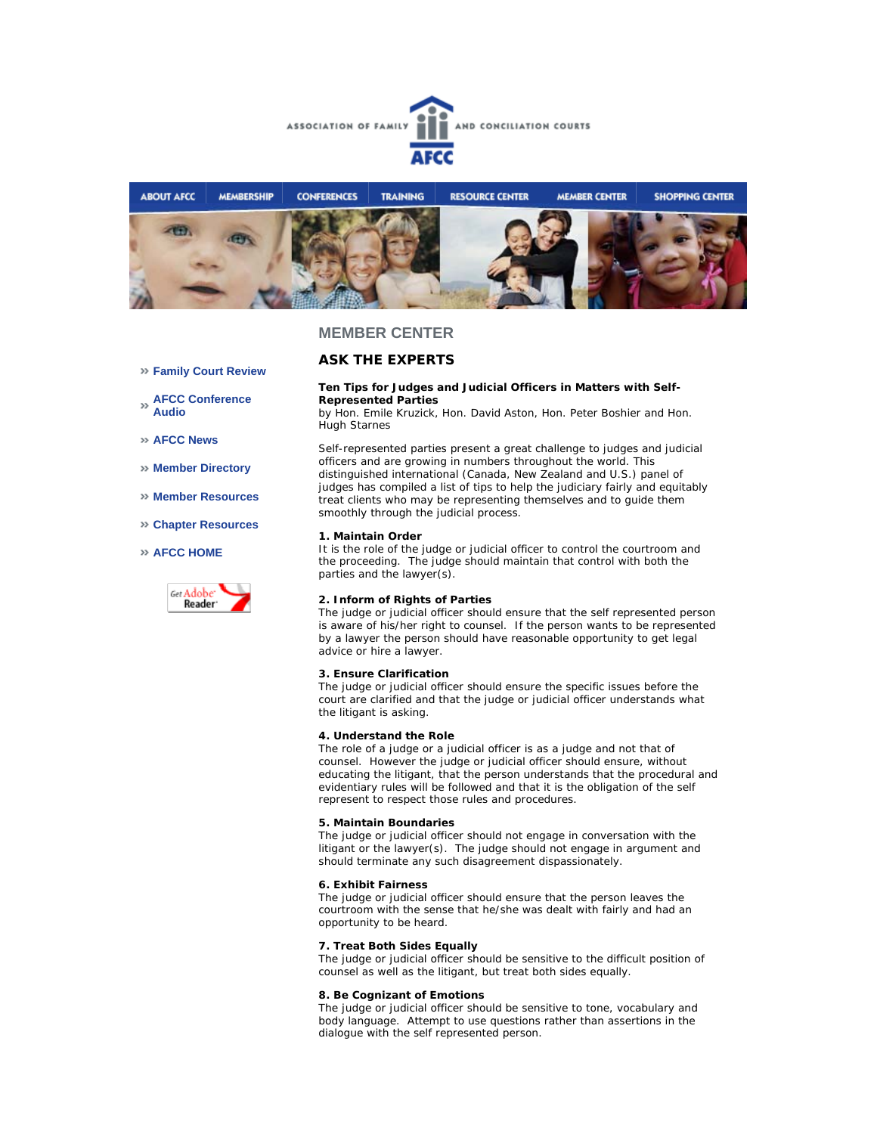



### **ASK THE EXPERTS**

# **Family Court Review**

**AFCC Conference Audio** 

**AFCC News** 

- **Member Directory**
- **Member Resources**
- **Chapter Resources**

#### **AFCC HOME**



**Ten Tips for Judges and Judicial Officers in Matters with Self-Represented Parties**

*by Hon. Emile Kruzick, Hon. David Aston, Hon. Peter Boshier and Hon. Hugh Starnes*

Self-represented parties present a great challenge to judges and judicial officers and are growing in numbers throughout the world. This distinguished international (Canada, New Zealand and U.S.) panel of judges has compiled a list of tips to help the judiciary fairly and equitably treat clients who may be representing themselves and to guide them smoothly through the judicial process.

#### **1. Maintain Order**

It is the role of the judge or judicial officer to control the courtroom and the proceeding. The judge should maintain that control with both the parties and the lawyer(s).

#### **2. Inform of Rights of Parties**

The judge or judicial officer should ensure that the self represented person is aware of his/her right to counsel. If the person wants to be represented by a lawyer the person should have reasonable opportunity to get legal advice or hire a lawyer.

#### **3. Ensure Clarification**

The judge or judicial officer should ensure the specific issues before the court are clarified and that the judge or judicial officer understands what the litigant is asking.

#### **4. Understand the Role**

The role of a judge or a judicial officer is as a judge and not that of counsel. However the judge or judicial officer should ensure, without educating the litigant, that the person understands that the procedural and evidentiary rules will be followed and that it is the obligation of the self represent to respect those rules and procedures.

#### **5. Maintain Boundaries**

The judge or judicial officer should not engage in conversation with the litigant or the lawyer(s). The judge should not engage in argument and should terminate any such disagreement dispassionately.

#### **6. Exhibit Fairness**

The judge or judicial officer should ensure that the person leaves the courtroom with the sense that he/she was dealt with fairly and had an opportunity to be heard.

#### **7. Treat Both Sides Equally**

The judge or judicial officer should be sensitive to the difficult position of counsel as well as the litigant, but treat both sides equally.

#### **8. Be Cognizant of Emotions**

The judge or judicial officer should be sensitive to tone, vocabulary and body language. Attempt to use questions rather than assertions in the dialogue with the self represented person.